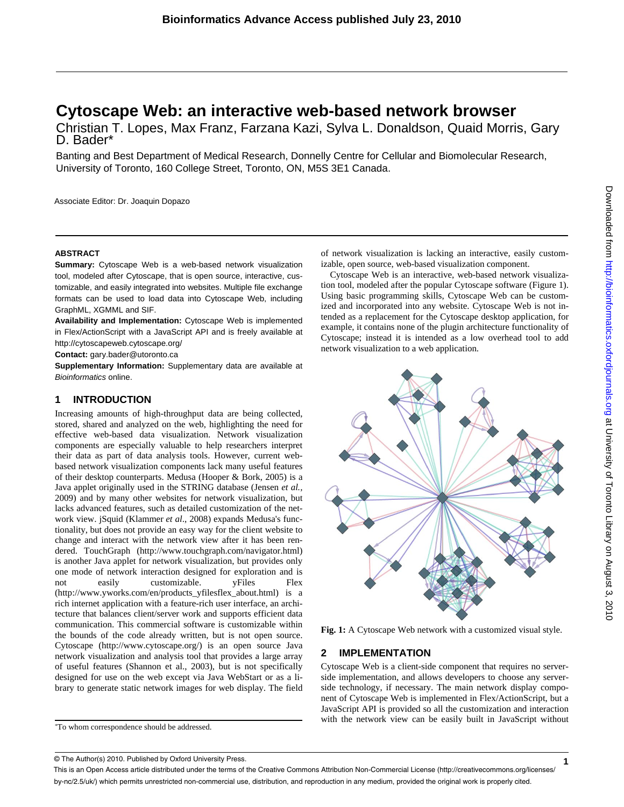# **Cytoscape Web: an interactive web-based network browser**

Christian T. Lopes, Max Franz, Farzana Kazi, Sylva L. Donaldson, Quaid Morris, Gary<br>D. Bader\*

Banting and Best Department of Medical Research, Donnelly Centre for Cellular and Biomolecular Research, University of Toronto, 160 College Street, Toronto, ON, M5S 3E1 Canada.

Associate Editor: Dr. Joaquin Dopazo

### **ABSTRACT**

**Summary:** Cytoscape Web is a web-based network visualization tool, modeled after Cytoscape, that is open source, interactive, customizable, and easily integrated into websites. Multiple file exchange formats can be used to load data into Cytoscape Web, including GraphML, XGMML and SIF.

**Availability and Implementation:** Cytoscape Web is implemented in Flex/ActionScript with a JavaScript API and is freely available at <http://cytoscapeweb.cytoscape.org/>

**Contact:** gary.bader@utoronto.ca

**Supplementary Information:** Supplementary data are available at *Bioinformatics* online.

## **1 INTRODUCTION**

Increasing amounts of high-throughput data are being collected, stored, shared and analyzed on the web, highlighting the need for effective web-based data visualization. Network visualization components are especially valuable to help researchers interpret their data as part of data analysis tools. However, current webbased network visualization components lack many useful features of their desktop counterparts. Medusa (Hooper & Bork, 2005) is a Java applet originally used in the STRING database (Jensen *et al.,* 2009) and by many other websites for network visualization, but lacks advanced features, such as detailed customization of the network view. jSquid (Klammer *et al*., 2008) expands Medusa's functionality, but does not provide an easy way for the client website to change and interact with the network view after it has been rendered. TouchGraph [\(http://www.touchgraph.com/navigator.html\)](http://www.touchgraph.com/navigator.html)  is another Java applet for network visualization, but provides only one mode of network interaction designed for exploration and is not easily customizable. yFiles Flex ([http://www.yworks.com/en/products\\_yfilesflex\\_about.html\)](http://www.yworks.com/en/products_yfilesflex_about.html) is a rich internet application with a feature-rich user interface, an architecture that balances client/server work and supports efficient data communication. This commercial software is customizable within the bounds of the code already written, but is not open source. Cytoscape ([http://www.cytoscape.org/\)](http://www.cytoscape.org/) is an open source Java network visualization and analysis tool that provides a large array of useful features (Shannon et al., 2003), but is not specifically designed for use on the web except via Java WebStart or as a library to generate static network images for web display. The field

of network visualization is lacking an interactive, easily customizable, open source, web-based visualization component.

 Cytoscape Web is an interactive, web-based network visualization tool, modeled after the popular Cytoscape software (Figure 1). Using basic programming skills, Cytoscape Web can be customized and incorporated into any website. Cytoscape Web is not intended as a replacement for the Cytoscape desktop application, for example, it contains none of the plugin architecture functionality of Cytoscape; instead it is intended as a low overhead tool to add network visualization to a web application.



**Fig. 1:** A Cytoscape Web network with a customized visual style.

## **2 IMPLEMENTATION**

Cytoscape Web is a client-side component that requires no serverside implementation, and allows developers to choose any serverside technology, if necessary. The main network display component of Cytoscape Web is implemented in Flex/ActionScript, but a JavaScript API is provided so all the customization and interaction with the network view can be easily built in JavaScript without

<sup>\*</sup> To whom correspondence should be addressed.

<sup>©</sup> The Author(s) 2010. Published by Oxford University Press.

This is an Open Access article distributed under the terms of the Creative Commons Attribution Non-Commercial License (<http://creativecommons.org/licenses/> by-nc/2.5/uk/) which permits unrestricted non-commercial use, distribution, and reproduction in any medium, provided the original work is properly cited.